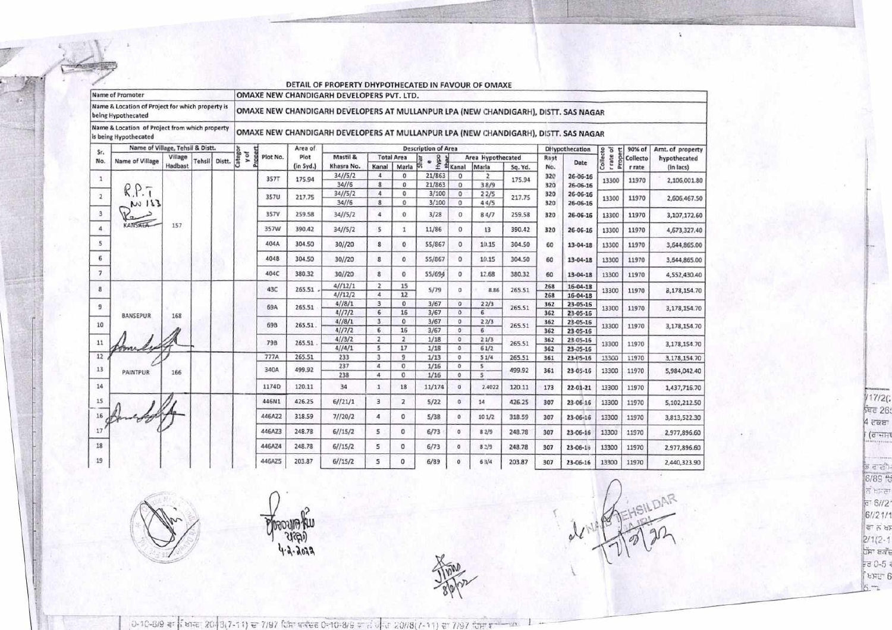| Name of Promoter                                                        |                                  |         |               |                                                                                     | PETTING OF FINDI CITY FRITT OTHERSTED IN FREDOM OF OMPON<br>OMAXE NEW CHANDIGARH DEVELOPERS PVT. LTD. |             |           |                         |                         |                   |                            |                              |                      |         |                |                       |                       |          |                  |
|-------------------------------------------------------------------------|----------------------------------|---------|---------------|-------------------------------------------------------------------------------------|-------------------------------------------------------------------------------------------------------|-------------|-----------|-------------------------|-------------------------|-------------------|----------------------------|------------------------------|----------------------|---------|----------------|-----------------------|-----------------------|----------|------------------|
| Name & Location of Project for which property is<br>being Hypothecated  |                                  |         |               | OMAXE NEW CHANDIGARH DEVELOPERS AT MULLANPUR LPA (NEW CHANDIGARH), DISTT. SAS NAGAR |                                                                                                       |             |           |                         |                         |                   |                            |                              |                      |         |                |                       |                       |          |                  |
| Name & Location of Project from which property<br>is being Hypothecated |                                  |         |               |                                                                                     | OMAXE NEW CHANDIGARH DEVELOPERS AT MULLANPUR LPA (NEW CHANDIGARH), DISTT. SAS NAGAR                   |             |           |                         |                         |                   |                            |                              |                      |         |                |                       |                       |          |                  |
| Sr.                                                                     | Name of Village, Tehsil & Distt. |         |               |                                                                                     |                                                                                                       |             | Area of   |                         |                         |                   | <b>Description of Area</b> |                              |                      |         |                | <b>DHypothecation</b> |                       | 90% of   | Amt. of property |
|                                                                         |                                  | Village |               | Distt.                                                                              | Categor<br>Proper<br>yof                                                                              | Plot No.    | Plot      | Mastil &                |                         | <b>Total Area</b> |                            |                              | Area Hypothecated    |         | Rapt           |                       | Proper                | Collecto | hypothecated     |
| No.                                                                     | Name of Village                  | Hadbast | <b>Tehsil</b> |                                                                                     |                                                                                                       |             | (in Syd.) | Khasra No.              | Kanal                   | Marla             | Hypo                       | #Kanal                       | Marla                | Sq. Yd. | No.            | Date                  | Collecto<br>r rate of | r rate   | (in lacs)        |
| 1                                                                       |                                  |         |               |                                                                                     |                                                                                                       | <b>357T</b> | 175.94    | 34//5/2<br>34//6        | $\sqrt{4}$<br>8         | 0<br>0            | 21/863<br>21/863           | $^{\circ}$                   | $\mathbf{z}$<br>38/9 | 175.94  | 320<br>320     | 26-06-16<br>26-06-16  | 13300                 | 11970    | 2,106,001.80     |
|                                                                         |                                  |         |               |                                                                                     |                                                                                                       |             |           | 34/15/2                 | $\ddot{a}$              | $\Omega$          | 3/100                      | $\mathbf{0}$<br>$\mathbf{0}$ | 22/5                 |         | 320            | 26-06-16              |                       |          |                  |
| $\overline{2}$                                                          | 111 <sub>w</sub>                 |         |               |                                                                                     |                                                                                                       | 357U        | 217.75    | 34//6                   | 8                       | $\Omega$          | 3/100                      | $\mathbf{0}$                 | 44/5                 | 217.75  | 320            | 26-06-16              | 13300                 | 11970    | 2,606,467.50     |
| 3                                                                       |                                  |         |               |                                                                                     |                                                                                                       | 357V        | 259.58    | 34/5/2                  | 4                       | $\circ$           | 3/28                       | $\circ$                      | 84/7                 | 259.58  | 320            | 26-06-16              | 13300                 | 11970    | 3,107,172.60     |
| 4                                                                       | <b>KANSALA</b>                   | 157     |               |                                                                                     |                                                                                                       | 357W        | 390.42    | 34/ / 5/2               | 5                       | $\mathbf{1}$      | 11/86                      | $^{\circ}$                   | 13                   | 390.42  | 320            | $26 - 06 - 16$        | 13300                 | 11970    | 4,673,327.40     |
| 5                                                                       |                                  |         |               |                                                                                     |                                                                                                       | 404A        | 304.50    | 30/720                  | 8                       | $\mathbf{0}$      | 55/867                     | $\Omega$                     | 10.15                | 304.50  | 60             | $13 - 04 - 18$        | 13300                 | 11970    | 3,644,865.00     |
| 6                                                                       |                                  |         |               |                                                                                     |                                                                                                       | 404B        | 304.50    | 30//20                  | 8                       | $\Omega$          | 55/867                     | $\Omega$                     | 10.15                | 304.50  | 60             | $13 - 04 - 18$        | 13300                 | 11970    | 3,644,865.00     |
| 7                                                                       |                                  |         |               |                                                                                     |                                                                                                       | 404C        | 380.32    | 30//20                  | $\overline{\mathbf{g}}$ | $\Omega$          | 55/694                     | $\bf{0}$                     | 12.68                | 380.32  | 60             | $13 - 04 - 18$        | 13300                 | 11970    | 4,552,430.40     |
|                                                                         |                                  |         |               |                                                                                     |                                                                                                       |             |           | 4/12/1                  | $\overline{2}$          | 15                |                            |                              |                      |         | 268            | 16-04-18              |                       |          |                  |
| B.                                                                      |                                  |         |               |                                                                                     |                                                                                                       | 43C         | 265.51    | 4/12/2                  | 4                       | 12                | 5/79                       | $^{\circ}$                   | 8.86                 | 265.51  | 268            | 16-04-18              | 13300                 | 11970    | 8,178,154.70     |
|                                                                         |                                  |         |               |                                                                                     |                                                                                                       |             |           | 4/18/1                  | 3                       | 0                 | 3/67                       | $\circ$                      | 22/3                 |         | 362            | 23-05-16              |                       |          |                  |
| 9                                                                       |                                  |         |               |                                                                                     |                                                                                                       | 69A         | 265.51    | 4//7/2                  | 6                       | 16                | 3/67                       | $\alpha$                     | 6                    | 265.51  | 362            | 23-05-16              | 13300                 | 11970    | 3,178,154.70     |
|                                                                         | <b>BANSEPUR</b>                  | 168     |               |                                                                                     |                                                                                                       |             | 4/18/1    | $\overline{\mathbf{3}}$ | $\Omega$                | 3/67              | $\mathfrak{o}$             | 22/3                         |                      | 362     | $23 - 05 - 16$ |                       |                       |          |                  |
| 10                                                                      |                                  |         |               |                                                                                     |                                                                                                       | 69B         | 265.51    | 4/77/2                  | 6                       | 16                | 3/67                       | $\circ$                      | $6^{\circ}$          | 265.51  | 362            | 23-05-16              | 13300                 | 11970    | 3,178,154.70     |
| 11                                                                      |                                  |         |               |                                                                                     |                                                                                                       | 798         |           | 4/3/2                   | $\overline{2}$          | $\overline{2}$    | 1/18                       | $\circ$                      | 21/3                 |         | 362            | 23 05-16              |                       |          |                  |
|                                                                         |                                  |         |               |                                                                                     |                                                                                                       |             | 265.51    | 41/41                   | 5                       | 17                | 1/18                       | O.                           | 61/2                 | 265.51  | 362            | 23-05-16              | 13300                 | 11970    | 3,178,154.70     |
| 12                                                                      |                                  |         |               |                                                                                     |                                                                                                       | 777A        | 265.51    | 233                     | $\overline{\mathbf{3}}$ | 9                 | 1/13                       | $\alpha$                     | 51/4                 | 265.51  | 361            | 23-05-16              | 13300                 | 11970    | 3,178,154.70     |
| 13                                                                      |                                  |         |               |                                                                                     |                                                                                                       | 340A        | 499.92    | 237                     | $\overline{4}$          | $\sigma$          | 1/16                       | $\circ$                      | 5                    |         |                |                       |                       |          |                  |
|                                                                         | <b>PAINTPUR</b>                  | 166     |               |                                                                                     |                                                                                                       |             |           | 238                     | $\overline{4}$          | $\mathbf{0}$      | 1/16                       | $^{\circ}$                   | 5                    | 499.92  | 361            | 23-05-16              | 13300                 | 11970    | 5,984,042.40     |
| 14                                                                      |                                  |         |               |                                                                                     |                                                                                                       | 1174D       | 120.11    | 34                      | $\mathbf{1}$            | 18                | 11/174                     | $\circ$                      | 2.4022               | 120.11  | 173            | 22-01-21              | 13300                 | 11970    | 1,437,716.70     |
| 15                                                                      |                                  |         |               |                                                                                     |                                                                                                       | 446N1       | 426.25    | 6/721/1                 | 3                       | $\overline{2}$    | 5/22                       | $\circ$                      | 14                   | 426.25  | 307            | 23-06-16              | 13300                 | 11970    | 5,102,212.50     |
|                                                                         |                                  |         |               |                                                                                     |                                                                                                       | 446AZ2      | 318.59    | 71/20/2                 | 4                       | $\circ$           | 5/38                       | $\circ$                      | 101/2                | 318.59  | 307            | 23-06-16              | 13300                 | 11970    | 3,813,522.30     |
|                                                                         |                                  |         |               |                                                                                     |                                                                                                       | 446AZ3      | 248.78    | 61/15/2                 | 5                       | $\mathbf{0}$      | 6/73                       | $\circ$                      | 82/9                 | 248.78  | 307            | $23 - 06 - 16$        | 13300                 | 11970    | 2,977,896.60     |
| 18                                                                      |                                  |         |               |                                                                                     |                                                                                                       | 446AZ4      | 248.78    | 61/15/2                 | 5                       | $\circ$           | 6/73                       | o                            | 8.1/9                | 248.78  | 307            | $23 - 06 - 16$        | 13300                 | 11970    | 2,977,896.60     |
| 19                                                                      |                                  |         |               |                                                                                     |                                                                                                       | 446AZ5      | 203.87    | 61/15/2                 | 5                       | $\alpha$          | 6/89                       | $\Omega$                     | 63/4                 | 203.87  | 307            | 23-06-16              | 13300                 | 11970    | 2,440,323.90     |

DETAIL OF PROPERTY DHYPOTHECATED IN FAVOUR OF OMAXE



**DOODLING** 

 $\sqrt{17/2}$  $4 \overline{c}$ ਕਬਾ  $\frac{1}{\sqrt{d}}$ 

ਭ ਗਈ।<br>6/89 ਹਿ  $\frac{1}{10}$  h h m et  $\frac{1}{10}$  f h h m et  $\frac{1}{10}$  f m s and all et  $\frac{2}{10}$  f  $\frac{1}{10}$  f m s and all et  $\frac{1}{10}$  f  $\frac{1}{10}$  f  $\frac{1}{10}$  f  $\frac{1}{10}$  f  $\frac{1}{10}$  f  $\frac{1}{10}$  f  $\frac{1}{10}$  f  $\frac{1}{10}$  f  $\frac{1}{$  $\frac{5}{10} = 0.5$ 

0-10-8/9 *a*: *i* sinc 20-3(7-11) e 7/97 fcm exec 0-10-8/9 and one 20//8(7-11) and 7/97 fem x -tex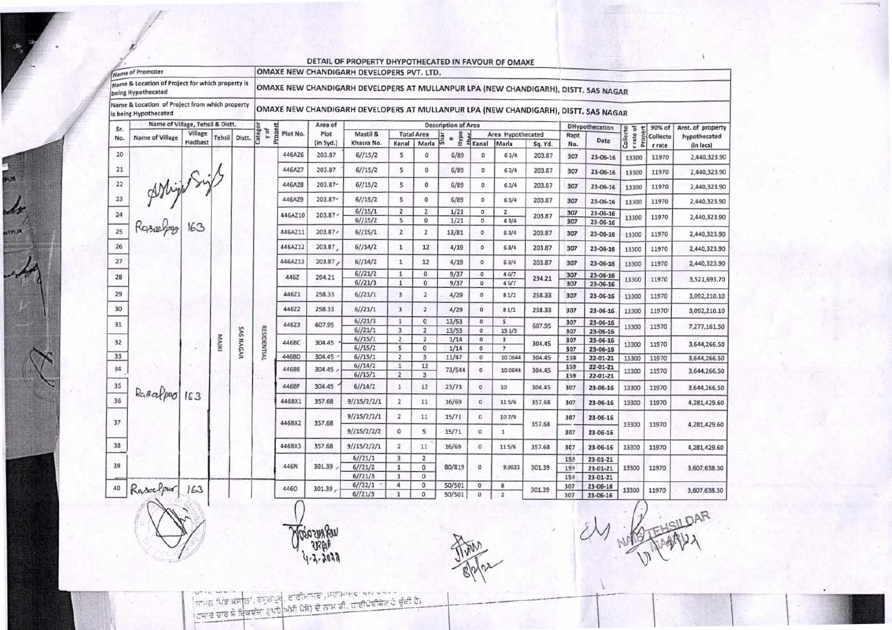|                                                                         | Name of Promoter |         |               |                  | OMAXE NEW CHANDIGARH DEVELOPERS PVT. LTD. |                                                                                     |           |                                                                                     |                              |                               |                            |                            |                         |          |                          |                      |                               |          |                  |  |
|-------------------------------------------------------------------------|------------------|---------|---------------|------------------|-------------------------------------------|-------------------------------------------------------------------------------------|-----------|-------------------------------------------------------------------------------------|------------------------------|-------------------------------|----------------------------|----------------------------|-------------------------|----------|--------------------------|----------------------|-------------------------------|----------|------------------|--|
| Name & Location of Project for which property is<br>being Hypothecated  |                  |         |               |                  |                                           |                                                                                     |           | OMAXE NEW CHANDIGARH DEVELOPERS AT MULLANPUR LPA (NEW CHANDIGARH), DISTT. SAS NAGAR |                              |                               |                            |                            |                         |          |                          |                      |                               |          |                  |  |
| Name & Location of Project from which property<br>is being Hypothecated |                  |         |               |                  |                                           | OMAXE NEW CHANDIGARH DEVELOPERS AT MULLANPUR LPA (NEW CHANDIGARH), DISTT. SAS NAGAR |           |                                                                                     |                              |                               |                            |                            |                         |          |                          |                      |                               |          |                  |  |
| Name of Village, Tehsil & Distt.<br>Sr.                                 |                  |         |               |                  |                                           |                                                                                     | Area of   |                                                                                     |                              |                               | <b>Description of Area</b> |                            |                         |          | DHypothecation<br>90% of |                      |                               |          | Amt. of property |  |
| No.                                                                     | Name of Village  | Village | <b>Tehsil</b> | Distt.           | Categor<br>yof                            | Proper<br>Plot No.                                                                  | Plot      | Mastil &                                                                            |                              | <b>Total Area</b>             | Hуро<br>Shar               |                            | Area Hypothecated       |          | Rapt                     |                      | Propert                       | Collecto | hypothecated     |  |
|                                                                         |                  | Hadbast |               |                  |                                           |                                                                                     | (in Syd.) | Khasra No.                                                                          | Kanal                        | Maria                         |                            | <b>H</b> Kanal             | Marla                   | Sq. Yd.  | No.                      | Date                 | Collecto<br>rule <sub>1</sub> | r rate   | (in lacs)        |  |
| 20                                                                      |                  |         |               |                  |                                           | 446AZ6                                                                              | 203.87    | 61/15/2                                                                             | $\overline{\phantom{a}}$     | $\circ$                       | 6/89                       | ٥                          | 63/4                    | 203.87   | 307                      | 23-06-16             | 13300                         | 11970    | 2,440,323.90     |  |
| 21                                                                      |                  |         |               |                  |                                           | 446AZ7                                                                              | 203.87    | 61/15/2                                                                             | 5                            | $\circ$                       | 6/89                       | $\circ$                    | 63/4                    | 203.87   | 307                      | 23-06-16             | 13300                         | 11970    | 2,440,323.90     |  |
| 22                                                                      | AMighting        |         |               |                  |                                           | 446AZ8                                                                              | 203.87-   | 6//15/2                                                                             | 5                            | $\circ$                       | 6/89                       | ٥                          | 63/4                    | 203.87   | 307                      | 23-06-16             | 13300                         | 11970    | 2,440,323.90     |  |
| 23                                                                      |                  |         |               |                  |                                           | 446AZ9                                                                              | 203.87    | 61/15/2                                                                             | s.                           | o                             | 6/89                       | o                          | 63/4                    | 203.87   | 307                      | 23-06-16             | 13300                         | 11970    | 2,440,323.90     |  |
| 24                                                                      |                  |         |               |                  |                                           | 446AZ10                                                                             | 203.87    | 6//15/1                                                                             | $\overline{2}$               | $\mathbf{z}$                  | 1/21                       | $\circ$                    | $\overline{2}$          | 203.87   | 307                      | 23-06-16             |                               | 11970    |                  |  |
|                                                                         |                  |         |               |                  |                                           |                                                                                     |           | 6//15/2                                                                             | s                            | o                             | 1/21                       | $\circ$                    | 43/4                    |          | 307                      | 23-06-16             | 13300                         |          | 2,440,323.90     |  |
| 25                                                                      |                  |         |               |                  |                                           | 446AZ11                                                                             | 203.87    | 61/15/1                                                                             | $\mathbf{z}$                 | $\overline{2}$                | 13/81                      | $\circ$                    | 63/4                    | 203.87   | 307                      | 23-06-16             | 13300                         | 11970    | 2,440,323.90     |  |
| 26                                                                      |                  |         |               |                  |                                           | 446AZ12                                                                             | 203.87    | 61/14/2                                                                             | $\mathbf{1}$                 | 12                            | 4/19                       | $\mathbf 0$                | 63/4                    | 203.87   | 307                      | 23-06-16             | 13300                         | 11970    | 2,440,323.90     |  |
| 27                                                                      |                  |         |               |                  |                                           | 446AZ13                                                                             | 203.87    | 61/14/2                                                                             | $\mathbf{1}$                 | 12                            | 4/19                       | $\circ$                    | 63/4                    | 203.87   | 307                      | 23-06-16             | 13300                         | 11970    | 2,440,323.90     |  |
| 28                                                                      |                  |         |               |                  |                                           | 446Z                                                                                | 294.21    | 61/21/2<br>6//21/3                                                                  | $\mathbf{1}$<br>$\mathbf 1$  | $\mathbf 0$<br>$\mathbf{0}$   | 9/37                       | $\circ$                    | 46/7                    | 294.21   | 307                      | 23-06-16             | 13300                         | 11970    | 3,521,693.70     |  |
| 29                                                                      |                  |         |               |                  |                                           | 446Z1                                                                               | 258.33    | 6//21/1                                                                             | $\overline{\mathbf{3}}$      | $\overline{\mathbf{z}}$       | 9/37<br>4/29               | $\circ$<br>$\circ$         | 45/7<br>81/2            | 258.33   | 307<br>307               | 23-06-16<br>23-06-16 | 13300                         | 11970    | 3,092,210.10     |  |
| 30                                                                      |                  |         |               |                  |                                           | 44622                                                                               | 258.33    | 6//21/1                                                                             | 3                            | $\overline{2}$                | 4/29                       | $\circ$                    | 81/2                    | 258.33   | 307                      | 23-06-16             | 13300                         | 11970    | 3,092,210.10     |  |
|                                                                         |                  |         |               |                  |                                           |                                                                                     |           | 61/21/3                                                                             | $\mathbf{1}$                 | $\bf{0}$                      | 13/53                      | $\circ$                    | 5                       |          |                          |                      |                               |          |                  |  |
| 31                                                                      |                  |         |               |                  | RESIDENTIAL                               | 44623                                                                               | 607.95    | 61/21/1                                                                             | 3                            | $\overline{2}$                | 13/53                      | $\circ$                    | 15 1/5                  | 607.95   | 307<br>307               | 23-06-16<br>23-06-16 | 13300                         | 11970    | 7,277,161.50     |  |
|                                                                         |                  |         | <b>MAJRI</b>  | <b>SAS NAGAR</b> |                                           |                                                                                     | 304.45    | 6//15/1                                                                             | $\overline{2}$               | $\overline{2}$                | 1/14                       | $\circ$                    | 3                       |          | 307                      | 23-06-16             |                               |          |                  |  |
| 32                                                                      |                  | ٠       |               |                  |                                           | 446BC                                                                               |           | 6//15/2                                                                             | 5                            | $\mathbf 0$                   | 1/14                       | $\circ$                    | $\overline{7}$          | 304.45   | 307                      | 23-06-16             | 13300                         | 11970    | 3,644,266.50     |  |
| 33                                                                      |                  |         |               |                  |                                           | 446BD                                                                               | 304.45    | 6//15/1                                                                             | $\overline{2}$               | $\overline{\mathbf{3}}$       | 11/47                      | $\circ$                    | 10.0644                 | 304.45   | 159                      | 22-01-21             | 13300                         | 11970    | 3,644,266.50     |  |
| 34                                                                      |                  |         |               |                  |                                           | 446BE                                                                               | 304.45    | 61/14/2                                                                             | $\mathbf{1}$                 | 12                            | 73/544                     | $\sigma$                   | 10.0644                 | 304.45   | 159                      | 22-01-21             | 13300                         | 11970    | 3,644,266.50     |  |
| 35                                                                      |                  |         |               |                  |                                           | 446BF                                                                               | 304.45    | 61/15/1<br>61/14/2                                                                  | $\overline{z}$<br>$1\,$      | $\overline{\mathbf{3}}$<br>12 | 23/73                      | $\circ$                    |                         |          | 159                      | 22-01-21             |                               |          |                  |  |
| 36                                                                      | Rasalpro 163     |         |               |                  |                                           |                                                                                     |           |                                                                                     |                              |                               |                            |                            | 10                      | 304.45   | 307                      | 23-06-16             | 13300                         | 11970    | 3,644,266.50     |  |
|                                                                         |                  |         |               |                  |                                           | 446BX1                                                                              | 357.68    | 9/115/2/2/1                                                                         | $\overline{z}$               | 11                            | 16/69                      | $\circ$                    | 115/6                   | 357.68   | 307                      | 23-06-16             | 13300                         | 11970    | 4,281,429.60     |  |
| 37                                                                      |                  |         |               |                  |                                           | 446BX2                                                                              | 357.68    | 9/15/2/2/1                                                                          | $\overline{2}$               | 11                            | 15/71                      | $\circ$<br>107/9<br>357.68 | 307                     | 23-06-16 | 13300                    | 11970                | 4,281,429.60                  |          |                  |  |
|                                                                         |                  |         |               |                  |                                           |                                                                                     |           | 9/15/2/2/2                                                                          | $\circ$                      | 5                             | 15/71                      | o                          | 1                       |          | 307                      | 23-06-16             |                               |          |                  |  |
| 38                                                                      |                  |         |               |                  |                                           | 446BX3                                                                              | 357.68    | 91/15/2/2/1                                                                         | $\overline{2}$               | 11                            | 16/69                      | $\circ$                    | 115/6                   | 357.68   | 307                      | 23-06-16             | 13300                         | 11970    | 4,281,429.60     |  |
|                                                                         |                  |         |               |                  |                                           | 446N                                                                                |           | 6//21/1                                                                             | $\overline{\mathbf{3}}$      | $\overline{2}$                |                            |                            |                         |          | 159                      | 23-01-21             |                               | 11970    | 3,607,638.30     |  |
| 39                                                                      |                  |         |               |                  |                                           |                                                                                     | 301.39    | 61/21/2<br>6//21/3                                                                  | $\mathbf{1}$<br>$\mathbf{1}$ | 0<br>0                        | 80/819                     | $\circ$                    | 9.9633                  | 301.39   | 159                      | 23-01-21             | 13300                         |          |                  |  |
|                                                                         |                  |         |               |                  |                                           |                                                                                     |           | 6//22/1                                                                             | $\frac{4}{3}$                | $\mathbf{0}$                  | 50/501                     | $\circ$                    | 8                       |          | 159<br>307               | 23-01-21<br>23-06-16 |                               |          |                  |  |
| 40                                                                      | Rasoclaur        | 163     |               |                  |                                           | 4460                                                                                | 301.39    | 6//21/3                                                                             | $\mathbf{1}$                 | 0                             | 50/501                     | $\mathfrak o$              | $\overline{\mathbf{c}}$ | 301.39   | 307                      | 23-06-16             | 13300                         | 11970    | 3,607,638.30     |  |

ਾ : ਦਾ ਦਾ ਦਾ ਦਾ ਦਾ ਦਾ ਹਮਲੇ ਹਨ।<br>ਕਿਸਾਨ ਪਿੰਡ ਕਸਾਲਾ, ਗਸ਼ੁਲਪੁਰ , ਰਾਣੀਮਾਦਰਾ, ਸਟਾਮਾਜਕਾ ਦਾ ਦਾ ਦਾ ਦਾ ਦੂਕੀ ਹੈ।<br>ਕਿਸਾਰ ਚਾਰ ਸੇ ਇਕਵੇਜ਼ਾ ਗੁਪਏ <mark>ਅੱਸੀ ਪੈਸੋ) ਦੇ ਨਾਮ ਡੀ. ਹਾਈਪੋਥੀਕੇਟ ਹੋ ਚੁੱਕੀ ਹੈ।</mark>

n<br>Jon<br>Joy

**ATPUP**